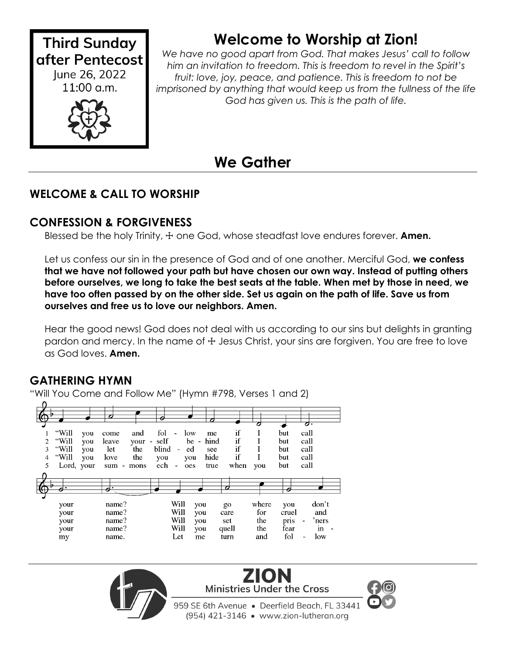

# **Welcome to Worship at Zion!**

*We have no good apart from God. That makes Jesus' call to follow him an invitation to freedom. This is freedom to revel in the Spirit's fruit: love, joy, peace, and patience. This is freedom to not be imprisoned by anything that would keep us from the fullness of the life God has given us. This is the path of life.*

## **We Gather**

## **WELCOME & CALL TO WORSHIP**

## **CONFESSION & FORGIVENESS**

Blessed be the holy Trinity, ☩ one God, whose steadfast love endures forever. **Amen.**

Let us confess our sin in the presence of God and of one another. Merciful God, **we confess that we have not followed your path but have chosen our own way. Instead of putting others before ourselves, we long to take the best seats at the table. When met by those in need, we have too often passed by on the other side. Set us again on the path of life. Save us from ourselves and free us to love our neighbors. Amen.**

Hear the good news! God does not deal with us according to our sins but delights in granting pardon and mercy. In the name of + Jesus Christ, your sins are forgiven. You are free to love as God loves. **Amen.**

## **GATHERING HYMN**

"Will You Come and Follow Me" (Hymn #798, Verses 1 and 2)

|                                    |                                                |                          | 77                                             |                                         | Θ                                                              |                                                                        |                                   |                                   |                                    | ο                                 |                                     | $\overline{\sigma}$ .                |                                        |
|------------------------------------|------------------------------------------------|--------------------------|------------------------------------------------|-----------------------------------------|----------------------------------------------------------------|------------------------------------------------------------------------|-----------------------------------|-----------------------------------|------------------------------------|-----------------------------------|-------------------------------------|--------------------------------------|----------------------------------------|
| 1<br>$\overline{2}$<br>3<br>4<br>5 | "Will<br>"Will<br>"Will<br>"Will<br>Lord, your | you<br>you<br>you<br>you | come<br>leave<br>let<br>love                   | and<br>your<br>the<br>the<br>sum - mons | fol<br>self<br>$\overline{\phantom{a}}$<br>blind<br>you<br>ech | $\blacksquare$<br>$\overline{\phantom{a}}$<br>$\overline{\phantom{0}}$ | low<br>$be -$<br>ed<br>you<br>oes | me<br>hind<br>see<br>hide<br>true | if<br>if<br>if<br>if<br>when       | I<br>you                          | but<br>but<br>but<br>but<br>but     | call<br>call<br>call<br>call<br>call |                                        |
|                                    | ď<br>your<br>your<br>your<br>your<br>my        |                          | ď<br>name?<br>name?<br>name?<br>name?<br>name. |                                         |                                                                | Will<br>Will<br>Will<br>Will<br>Let                                    | you<br>you<br>you<br>you<br>me    |                                   | go<br>care<br>set<br>quell<br>turn | where<br>for<br>the<br>the<br>and | you<br>cruel<br>pris<br>fear<br>fol | $\blacksquare$                       | don't<br>and<br>'ners<br>$in -$<br>low |

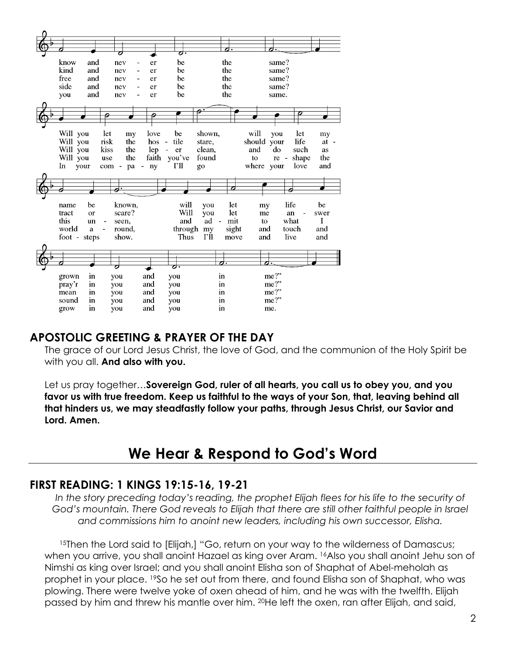

## **APOSTOLIC GREETING & PRAYER OF THE DAY**

The grace of our Lord Jesus Christ, the love of God, and the communion of the Holy Spirit be with you all. **And also with you.**

Let us pray together…**Sovereign God, ruler of all hearts, you call us to obey you, and you favor us with true freedom. Keep us faithful to the ways of your Son, that, leaving behind all that hinders us, we may steadfastly follow your paths, through Jesus Christ, our Savior and Lord. Amen.**

## **We Hear & Respond to God's Word**

## **FIRST READING: 1 KINGS 19:15-16, 19-21**

In the story preceding today's reading, the prophet Elijah flees for his life to the security of God's mountain. There God reveals to Elijah that there are still other faithful people in Israel *and commissions him to anoint new leaders, including his own successor, Elisha.*

<sup>15</sup>Then the Lord said to [Elijah,] "Go, return on your way to the wilderness of Damascus; when you arrive, you shall anoint Hazael as king over Aram. 16Also you shall anoint Jehu son of Nimshi as king over Israel; and you shall anoint Elisha son of Shaphat of Abel-meholah as prophet in your place. 19So he set out from there, and found Elisha son of Shaphat, who was plowing. There were twelve yoke of oxen ahead of him, and he was with the twelfth. Elijah passed by him and threw his mantle over him. 20He left the oxen, ran after Elijah, and said,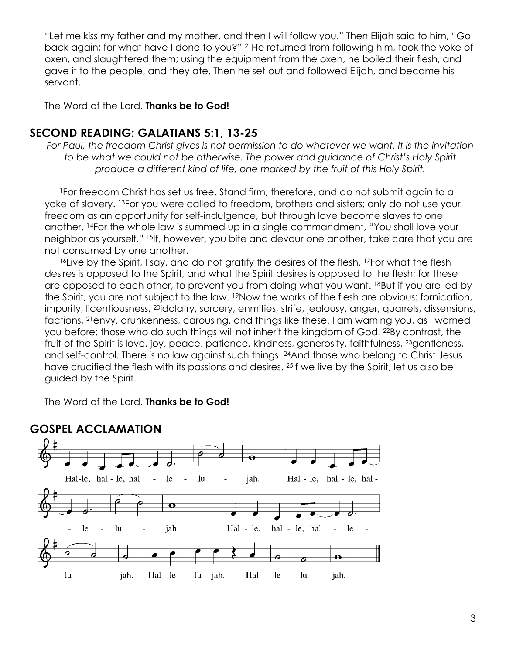"Let me kiss my father and my mother, and then I will follow you." Then Elijah said to him, "Go back again; for what have I done to you?" 21He returned from following him, took the yoke of oxen, and slaughtered them; using the equipment from the oxen, he boiled their flesh, and gave it to the people, and they ate. Then he set out and followed Elijah, and became his servant.

The Word of the Lord. **Thanks be to God!**

## **SECOND READING: GALATIANS 5:1, 13-25**

For Paul, the freedom Christ gives is not permission to do whatever we want. It is the invitation *to be what we could not be otherwise. The power and guidance of Christ's Holy Spirit produce a different kind of life, one marked by the fruit of this Holy Spirit.*

<sup>1</sup>For freedom Christ has set us free. Stand firm, therefore, and do not submit again to a yoke of slavery. 13For you were called to freedom, brothers and sisters; only do not use your freedom as an opportunity for self-indulgence, but through love become slaves to one another. 14For the whole law is summed up in a single commandment, "You shall love your neighbor as yourself." 15If, however, you bite and devour one another, take care that you are not consumed by one another.

<sup>16</sup> Live by the Spirit, I say, and do not gratify the desires of the flesh. <sup>17</sup> For what the flesh desires is opposed to the Spirit, and what the Spirit desires is opposed to the flesh; for these are opposed to each other, to prevent you from doing what you want. 18But if you are led by the Spirit, you are not subject to the law. 19Now the works of the flesh are obvious: fornication, impurity, licentiousness, 20idolatry, sorcery, enmities, strife, jealousy, anger, quarrels, dissensions, factions, 21envy, drunkenness, carousing, and things like these. I am warning you, as I warned you before: those who do such things will not inherit the kingdom of God. <sup>22</sup>By contrast, the fruit of the Spirit is love, joy, peace, patience, kindness, generosity, faithfulness, 23gentleness, and self-control. There is no law against such things. 24And those who belong to Christ Jesus have crucified the flesh with its passions and desires. 25If we live by the Spirit, let us also be guided by the Spirit.

The Word of the Lord. **Thanks be to God!**



### **GOSPEL ACCLAMATION**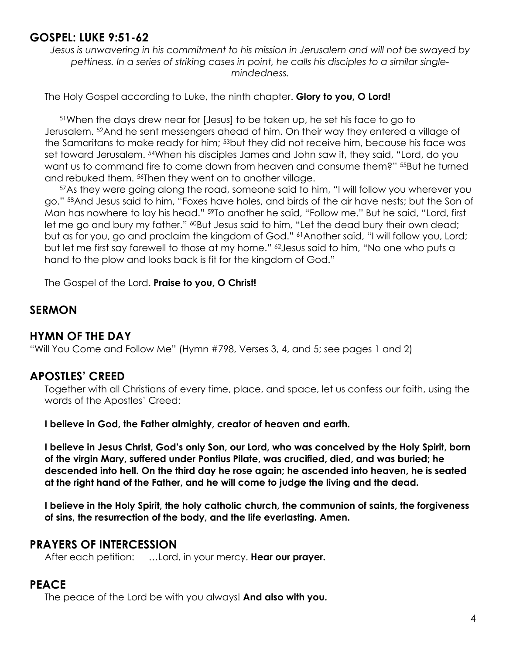## **GOSPEL: LUKE 9:51-62**

*Jesus is unwavering in his commitment to his mission in Jerusalem and will not be swayed by pettiness. In a series of striking cases in point, he calls his disciples to a similar singlemindedness.*

The Holy Gospel according to Luke, the ninth chapter. **Glory to you, O Lord!**

51When the days drew near for [Jesus] to be taken up, he set his face to go to Jerusalem. 52And he sent messengers ahead of him. On their way they entered a village of the Samaritans to make ready for him; 53but they did not receive him, because his face was set toward Jerusalem. 54When his disciples James and John saw it, they said, "Lord, do you want us to command fire to come down from heaven and consume them?" <sup>55</sup>But he turned and rebuked them. 56Then they went on to another village.

57As they were going along the road, someone said to him, "I will follow you wherever you go." 58And Jesus said to him, "Foxes have holes, and birds of the air have nests; but the Son of Man has nowhere to lay his head." 59To another he said, "Follow me." But he said, "Lord, first let me go and bury my father." <sup>60</sup>But Jesus said to him, "Let the dead bury their own dead; but as for you, go and proclaim the kingdom of God." <sup>61</sup>Another said, "I will follow you, Lord; but let me first say farewell to those at my home." <sup>62</sup> Jesus said to him, "No one who puts a hand to the plow and looks back is fit for the kingdom of God."

The Gospel of the Lord. **Praise to you, O Christ!**

## **SERMON**

### **HYMN OF THE DAY**

"Will You Come and Follow Me" (Hymn #798, Verses 3, 4, and 5; see pages 1 and 2)

### **APOSTLES' CREED**

Together with all Christians of every time, place, and space, let us confess our faith, using the words of the Apostles' Creed:

**I believe in God, the Father almighty, creator of heaven and earth.**

**I believe in Jesus Christ, God's only Son, our Lord, who was conceived by the Holy Spirit, born of the virgin Mary, suffered under Pontius Pilate, was crucified, died, and was buried; he descended into hell. On the third day he rose again; he ascended into heaven, he is seated at the right hand of the Father, and he will come to judge the living and the dead.**

**I believe in the Holy Spirit, the holy catholic church, the communion of saints, the forgiveness of sins, the resurrection of the body, and the life everlasting. Amen.**

#### **PRAYERS OF INTERCESSION**

After each petition: …Lord, in your mercy. **Hear our prayer.**

#### **PEACE**

The peace of the Lord be with you always! **And also with you.**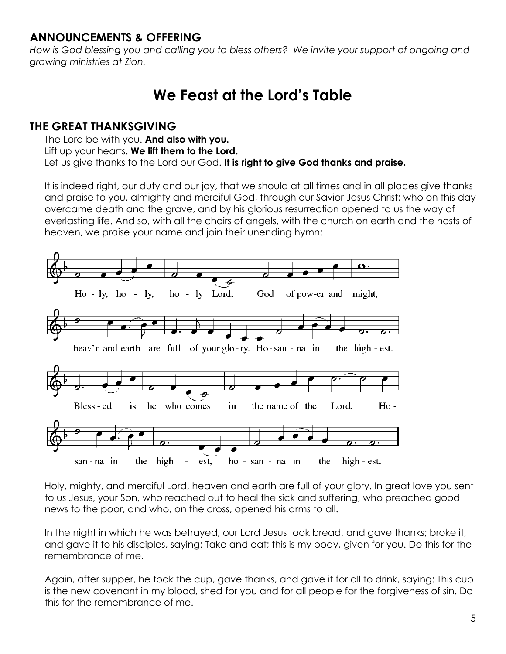## **ANNOUNCEMENTS & OFFERING**

*How is God blessing you and calling you to bless others? We invite your support of ongoing and growing ministries at Zion.*

## **We Feast at the Lord's Table**

### **THE GREAT THANKSGIVING**

The Lord be with you. **And also with you.** Lift up your hearts. **We lift them to the Lord.** Let us give thanks to the Lord our God. **It is right to give God thanks and praise.**

It is indeed right, our duty and our joy, that we should at all times and in all places give thanks and praise to you, almighty and merciful God, through our Savior Jesus Christ; who on this day overcame death and the grave, and by his glorious resurrection opened to us the way of everlasting life. And so, with all the choirs of angels, with the church on earth and the hosts of heaven, we praise your name and join their unending hymn:



Holy, mighty, and merciful Lord, heaven and earth are full of your glory. In great love you sent to us Jesus, your Son, who reached out to heal the sick and suffering, who preached good news to the poor, and who, on the cross, opened his arms to all.

In the night in which he was betrayed, our Lord Jesus took bread, and gave thanks; broke it, and gave it to his disciples, saying: Take and eat; this is my body, given for you. Do this for the remembrance of me.

Again, after supper, he took the cup, gave thanks, and gave it for all to drink, saying: This cup is the new covenant in my blood, shed for you and for all people for the forgiveness of sin. Do this for the remembrance of me.